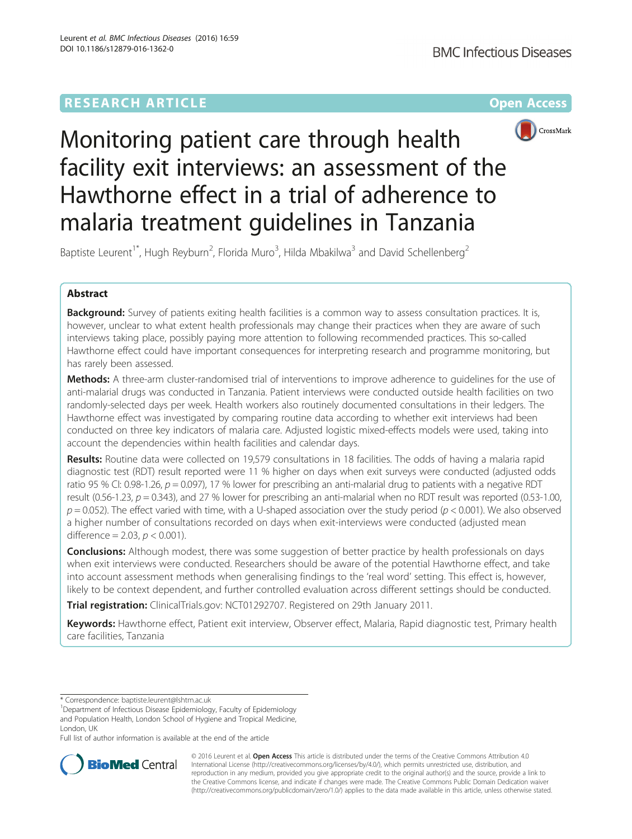# **RESEARCH ARTICLE Example 2014 12:30 The Community Community Community Community Community Community Community**



Monitoring patient care through health facility exit interviews: an assessment of the Hawthorne effect in a trial of adherence to malaria treatment guidelines in Tanzania

Baptiste Leurent<sup>1\*</sup>, Hugh Reyburn<sup>2</sup>, Florida Muro<sup>3</sup>, Hilda Mbakilwa<sup>3</sup> and David Schellenberg<sup>2</sup>

# Abstract

Background: Survey of patients exiting health facilities is a common way to assess consultation practices. It is, however, unclear to what extent health professionals may change their practices when they are aware of such interviews taking place, possibly paying more attention to following recommended practices. This so-called Hawthorne effect could have important consequences for interpreting research and programme monitoring, but has rarely been assessed.

Methods: A three-arm cluster-randomised trial of interventions to improve adherence to guidelines for the use of anti-malarial drugs was conducted in Tanzania. Patient interviews were conducted outside health facilities on two randomly-selected days per week. Health workers also routinely documented consultations in their ledgers. The Hawthorne effect was investigated by comparing routine data according to whether exit interviews had been conducted on three key indicators of malaria care. Adjusted logistic mixed-effects models were used, taking into account the dependencies within health facilities and calendar days.

Results: Routine data were collected on 19,579 consultations in 18 facilities. The odds of having a malaria rapid diagnostic test (RDT) result reported were 11 % higher on days when exit surveys were conducted (adjusted odds ratio 95 % CI: 0.98-1.26,  $p = 0.097$ ), 17 % lower for prescribing an anti-malarial drug to patients with a negative RDT result (0.56-1.23,  $p = 0.343$ ), and 27 % lower for prescribing an anti-malarial when no RDT result was reported (0.53-1.00,  $p = 0.052$ ). The effect varied with time, with a U-shaped association over the study period ( $p < 0.001$ ). We also observed a higher number of consultations recorded on days when exit-interviews were conducted (adjusted mean difference = 2.03,  $p < 0.001$ ).

**Conclusions:** Although modest, there was some suggestion of better practice by health professionals on days when exit interviews were conducted. Researchers should be aware of the potential Hawthorne effect, and take into account assessment methods when generalising findings to the 'real word' setting. This effect is, however, likely to be context dependent, and further controlled evaluation across different settings should be conducted.

Trial registration: ClinicalTrials.gov: [NCT01292707](https://clinicaltrials.gov/show/NCT01292707). Registered on 29th January 2011.

Keywords: Hawthorne effect, Patient exit interview, Observer effect, Malaria, Rapid diagnostic test, Primary health care facilities, Tanzania

<sup>1</sup>Department of Infectious Disease Epidemiology, Faculty of Epidemiology and Population Health, London School of Hygiene and Tropical Medicine, London, UK

Full list of author information is available at the end of the article



© 2016 Leurent et al. Open Access This article is distributed under the terms of the Creative Commons Attribution 4.0 International License [\(http://creativecommons.org/licenses/by/4.0/](http://creativecommons.org/licenses/by/4.0/)), which permits unrestricted use, distribution, and reproduction in any medium, provided you give appropriate credit to the original author(s) and the source, provide a link to the Creative Commons license, and indicate if changes were made. The Creative Commons Public Domain Dedication waiver [\(http://creativecommons.org/publicdomain/zero/1.0/](http://creativecommons.org/publicdomain/zero/1.0/)) applies to the data made available in this article, unless otherwise stated.

<sup>\*</sup> Correspondence: [baptiste.leurent@lshtm.ac.uk](mailto:baptiste.leurent@lshtm.ac.uk) <sup>1</sup>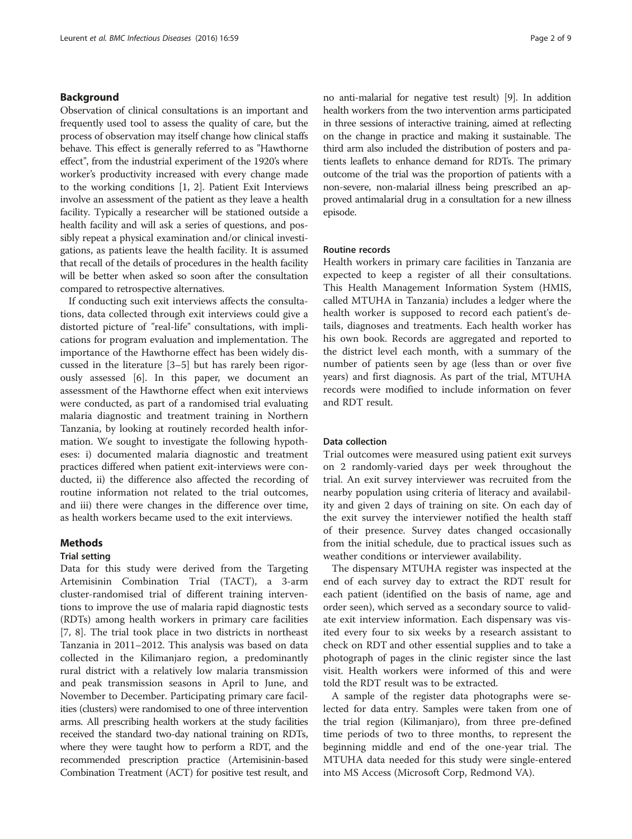### Background

Observation of clinical consultations is an important and frequently used tool to assess the quality of care, but the process of observation may itself change how clinical staffs behave. This effect is generally referred to as "Hawthorne effect", from the industrial experiment of the 1920's where worker's productivity increased with every change made to the working conditions [[1, 2\]](#page-8-0). Patient Exit Interviews involve an assessment of the patient as they leave a health facility. Typically a researcher will be stationed outside a health facility and will ask a series of questions, and possibly repeat a physical examination and/or clinical investigations, as patients leave the health facility. It is assumed that recall of the details of procedures in the health facility will be better when asked so soon after the consultation compared to retrospective alternatives.

If conducting such exit interviews affects the consultations, data collected through exit interviews could give a distorted picture of "real-life" consultations, with implications for program evaluation and implementation. The importance of the Hawthorne effect has been widely discussed in the literature [\[3](#page-8-0)–[5\]](#page-8-0) but has rarely been rigorously assessed [[6](#page-8-0)]. In this paper, we document an assessment of the Hawthorne effect when exit interviews were conducted, as part of a randomised trial evaluating malaria diagnostic and treatment training in Northern Tanzania, by looking at routinely recorded health information. We sought to investigate the following hypotheses: i) documented malaria diagnostic and treatment practices differed when patient exit-interviews were conducted, ii) the difference also affected the recording of routine information not related to the trial outcomes, and iii) there were changes in the difference over time, as health workers became used to the exit interviews.

## **Methods**

### Trial setting

Data for this study were derived from the Targeting Artemisinin Combination Trial (TACT), a 3-arm cluster-randomised trial of different training interventions to improve the use of malaria rapid diagnostic tests (RDTs) among health workers in primary care facilities [[7, 8\]](#page-8-0). The trial took place in two districts in northeast Tanzania in 2011–2012. This analysis was based on data collected in the Kilimanjaro region, a predominantly rural district with a relatively low malaria transmission and peak transmission seasons in April to June, and November to December. Participating primary care facilities (clusters) were randomised to one of three intervention arms. All prescribing health workers at the study facilities received the standard two-day national training on RDTs, where they were taught how to perform a RDT, and the recommended prescription practice (Artemisinin-based Combination Treatment (ACT) for positive test result, and no anti-malarial for negative test result) [\[9](#page-8-0)]. In addition health workers from the two intervention arms participated in three sessions of interactive training, aimed at reflecting on the change in practice and making it sustainable. The third arm also included the distribution of posters and patients leaflets to enhance demand for RDTs. The primary outcome of the trial was the proportion of patients with a non-severe, non-malarial illness being prescribed an approved antimalarial drug in a consultation for a new illness episode.

### Routine records

Health workers in primary care facilities in Tanzania are expected to keep a register of all their consultations. This Health Management Information System (HMIS, called MTUHA in Tanzania) includes a ledger where the health worker is supposed to record each patient's details, diagnoses and treatments. Each health worker has his own book. Records are aggregated and reported to the district level each month, with a summary of the number of patients seen by age (less than or over five years) and first diagnosis. As part of the trial, MTUHA records were modified to include information on fever and RDT result.

#### Data collection

Trial outcomes were measured using patient exit surveys on 2 randomly-varied days per week throughout the trial. An exit survey interviewer was recruited from the nearby population using criteria of literacy and availability and given 2 days of training on site. On each day of the exit survey the interviewer notified the health staff of their presence. Survey dates changed occasionally from the initial schedule, due to practical issues such as weather conditions or interviewer availability.

The dispensary MTUHA register was inspected at the end of each survey day to extract the RDT result for each patient (identified on the basis of name, age and order seen), which served as a secondary source to validate exit interview information. Each dispensary was visited every four to six weeks by a research assistant to check on RDT and other essential supplies and to take a photograph of pages in the clinic register since the last visit. Health workers were informed of this and were told the RDT result was to be extracted.

A sample of the register data photographs were selected for data entry. Samples were taken from one of the trial region (Kilimanjaro), from three pre-defined time periods of two to three months, to represent the beginning middle and end of the one-year trial. The MTUHA data needed for this study were single-entered into MS Access (Microsoft Corp, Redmond VA).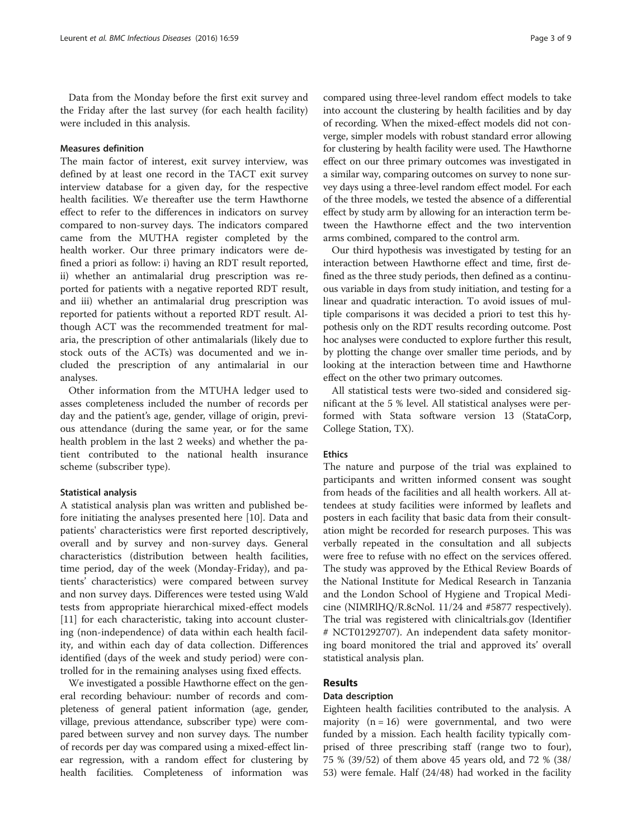Data from the Monday before the first exit survey and the Friday after the last survey (for each health facility) were included in this analysis.

### Measures definition

The main factor of interest, exit survey interview, was defined by at least one record in the TACT exit survey interview database for a given day, for the respective health facilities. We thereafter use the term Hawthorne effect to refer to the differences in indicators on survey compared to non-survey days. The indicators compared came from the MUTHA register completed by the health worker. Our three primary indicators were defined a priori as follow: i) having an RDT result reported, ii) whether an antimalarial drug prescription was reported for patients with a negative reported RDT result, and iii) whether an antimalarial drug prescription was reported for patients without a reported RDT result. Although ACT was the recommended treatment for malaria, the prescription of other antimalarials (likely due to stock outs of the ACTs) was documented and we included the prescription of any antimalarial in our analyses.

Other information from the MTUHA ledger used to asses completeness included the number of records per day and the patient's age, gender, village of origin, previous attendance (during the same year, or for the same health problem in the last 2 weeks) and whether the patient contributed to the national health insurance scheme (subscriber type).

### Statistical analysis

A statistical analysis plan was written and published before initiating the analyses presented here [[10\]](#page-8-0). Data and patients' characteristics were first reported descriptively, overall and by survey and non-survey days. General characteristics (distribution between health facilities, time period, day of the week (Monday-Friday), and patients' characteristics) were compared between survey and non survey days. Differences were tested using Wald tests from appropriate hierarchical mixed-effect models [[11\]](#page-8-0) for each characteristic, taking into account clustering (non-independence) of data within each health facility, and within each day of data collection. Differences identified (days of the week and study period) were controlled for in the remaining analyses using fixed effects.

We investigated a possible Hawthorne effect on the general recording behaviour: number of records and completeness of general patient information (age, gender, village, previous attendance, subscriber type) were compared between survey and non survey days. The number of records per day was compared using a mixed-effect linear regression, with a random effect for clustering by health facilities. Completeness of information was compared using three-level random effect models to take into account the clustering by health facilities and by day of recording. When the mixed-effect models did not converge, simpler models with robust standard error allowing for clustering by health facility were used. The Hawthorne effect on our three primary outcomes was investigated in a similar way, comparing outcomes on survey to none survey days using a three-level random effect model. For each of the three models, we tested the absence of a differential effect by study arm by allowing for an interaction term between the Hawthorne effect and the two intervention arms combined, compared to the control arm.

Our third hypothesis was investigated by testing for an interaction between Hawthorne effect and time, first defined as the three study periods, then defined as a continuous variable in days from study initiation, and testing for a linear and quadratic interaction. To avoid issues of multiple comparisons it was decided a priori to test this hypothesis only on the RDT results recording outcome. Post hoc analyses were conducted to explore further this result, by plotting the change over smaller time periods, and by looking at the interaction between time and Hawthorne effect on the other two primary outcomes.

All statistical tests were two-sided and considered significant at the 5 % level. All statistical analyses were performed with Stata software version 13 (StataCorp, College Station, TX).

#### **Ethics**

The nature and purpose of the trial was explained to participants and written informed consent was sought from heads of the facilities and all health workers. All attendees at study facilities were informed by leaflets and posters in each facility that basic data from their consultation might be recorded for research purposes. This was verbally repeated in the consultation and all subjects were free to refuse with no effect on the services offered. The study was approved by the Ethical Review Boards of the National Institute for Medical Research in Tanzania and the London School of Hygiene and Tropical Medicine (NIMRlHQ/R.8cNol. 11/24 and #5877 respectively). The trial was registered with clinicaltrials.gov (Identifier # [NCT01292707\)](http://www.clinicaltrials.gov/NCT01292707). An independent data safety monitoring board monitored the trial and approved its' overall statistical analysis plan.

### Results

### Data description

Eighteen health facilities contributed to the analysis. A majority  $(n = 16)$  were governmental, and two were funded by a mission. Each health facility typically comprised of three prescribing staff (range two to four), 75 % (39/52) of them above 45 years old, and 72 % (38/ 53) were female. Half (24/48) had worked in the facility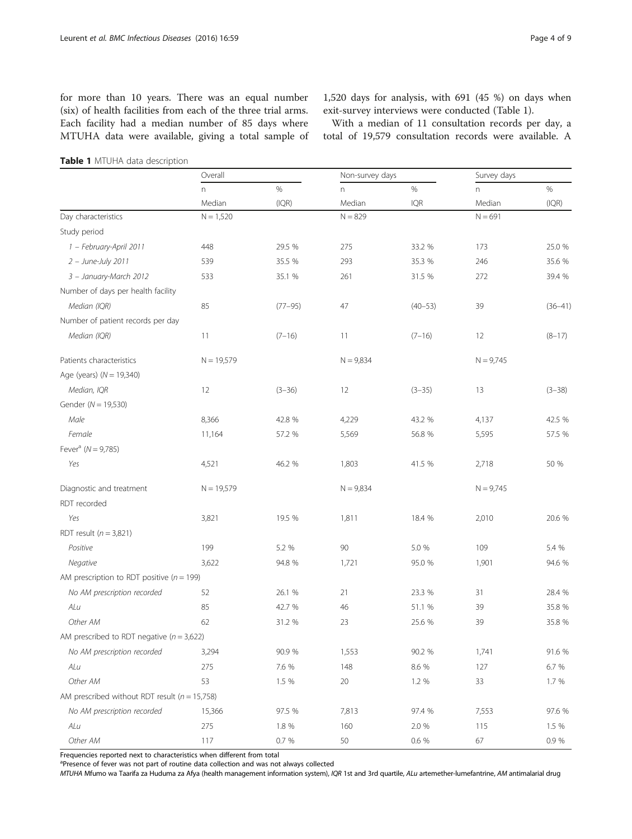<span id="page-3-0"></span>for more than 10 years. There was an equal number (six) of health facilities from each of the three trial arms. Each facility had a median number of 85 days where MTUHA data were available, giving a total sample of 1,520 days for analysis, with 691 (45 %) on days when exit-survey interviews were conducted (Table 1).

With a median of 11 consultation records per day, a total of 19,579 consultation records were available. A

Table 1 MTUHA data description

|                                                   | Overall      |            | Non-survey days |             | Survey days |             |
|---------------------------------------------------|--------------|------------|-----------------|-------------|-------------|-------------|
|                                                   | n            | $\%$       | n               | $\%$        | n           | $\%$        |
|                                                   | Median       | (IQR)      | Median          | IQR         | Median      | (IQR)       |
| Day characteristics                               | $N = 1,520$  |            | $N = 829$       |             | $N = 691$   |             |
| Study period                                      |              |            |                 |             |             |             |
| 1 - February-April 2011                           | 448          | 29.5 %     | 275             | 33.2 %      | 173         | 25.0 %      |
| 2 - June-July 2011                                | 539          | 35.5 %     | 293             | 35.3 %      | 246         | 35.6 %      |
| 3 - January-March 2012                            | 533          | 35.1 %     | 261             | 31.5 %      | 272         | 39.4 %      |
| Number of days per health facility                |              |            |                 |             |             |             |
| Median (IQR)                                      | 85           | $(77-95)$  | 47              | $(40 - 53)$ | 39          | $(36 - 41)$ |
| Number of patient records per day                 |              |            |                 |             |             |             |
| Median (IQR)                                      | 11           | $(7-16)$   | 11              | $(7-16)$    | 12          | $(8-17)$    |
| Patients characteristics                          | $N = 19,579$ |            | $N = 9,834$     |             | $N = 9,745$ |             |
| Age (years) ( $N = 19,340$ )                      |              |            |                 |             |             |             |
| Median, IQR                                       | 12           | $(3 - 36)$ | 12              | $(3-35)$    | 13          | $(3-38)$    |
| Gender (N = 19,530)                               |              |            |                 |             |             |             |
| Male                                              | 8,366        | 42.8 %     | 4,229           | 43.2 %      | 4,137       | 42.5 %      |
| Female                                            | 11,164       | 57.2 %     | 5,569           | 56.8 %      | 5,595       | 57.5 %      |
| Fever <sup>a</sup> ( $N = 9,785$ )                |              |            |                 |             |             |             |
| Yes                                               | 4,521        | 46.2 %     | 1,803           | 41.5 %      | 2,718       | 50 %        |
| Diagnostic and treatment                          | $N = 19,579$ |            | $N = 9,834$     |             | $N = 9,745$ |             |
| RDT recorded                                      |              |            |                 |             |             |             |
| Yes                                               | 3,821        | 19.5 %     | 1,811           | 18.4 %      | 2,010       | 20.6 %      |
| RDT result $(n = 3,821)$                          |              |            |                 |             |             |             |
| Positive                                          | 199          | 5.2 %      | 90              | 5.0 %       | 109         | 5.4 %       |
| Negative                                          | 3,622        | 94.8 %     | 1,721           | 95.0 %      | 1,901       | 94.6 %      |
| AM prescription to RDT positive ( $n = 199$ )     |              |            |                 |             |             |             |
| No AM prescription recorded                       | 52           | 26.1 %     | 21              | 23.3 %      | 31          | 28.4 %      |
| ALu                                               | 85           | 42.7 %     | 46              | 51.1 %      | 39          | 35.8 %      |
| Other AM                                          | 62           | 31.2 %     | 23              | 25.6 %      | 39          | 35.8 %      |
| AM prescribed to RDT negative ( $n = 3,622$ )     |              |            |                 |             |             |             |
| No AM prescription recorded                       | 3,294        | 90.9 %     | 1,553           | 90.2 %      | 1,741       | 91.6 %      |
| ALu                                               | 275          | 7.6 %      | 148             | 8.6 %       | 127         | 6.7 %       |
| Other AM                                          | 53           | 1.5 %      | $20\,$          | 1.2 %       | 33          | 1.7 %       |
| AM prescribed without RDT result ( $n = 15,758$ ) |              |            |                 |             |             |             |
| No AM prescription recorded                       | 15,366       | 97.5 %     | 7,813           | 97.4 %      | 7,553       | 97.6 %      |
| ALU                                               | 275          | 1.8 %      | 160             | 2.0 %       | 115         | 1.5 %       |
| Other AM                                          | 117          | 0.7 %      | 50              | 0.6 %       | 67          | 0.9%        |

Frequencies reported next to characteristics when different from total

<sup>a</sup>Presence of fever was not part of routine data collection and was not always collected

MTUHA Mfumo wa Taarifa za Huduma za Afya (health management information system), IQR 1st and 3rd quartile, ALu artemether-lumefantrine, AM antimalarial drug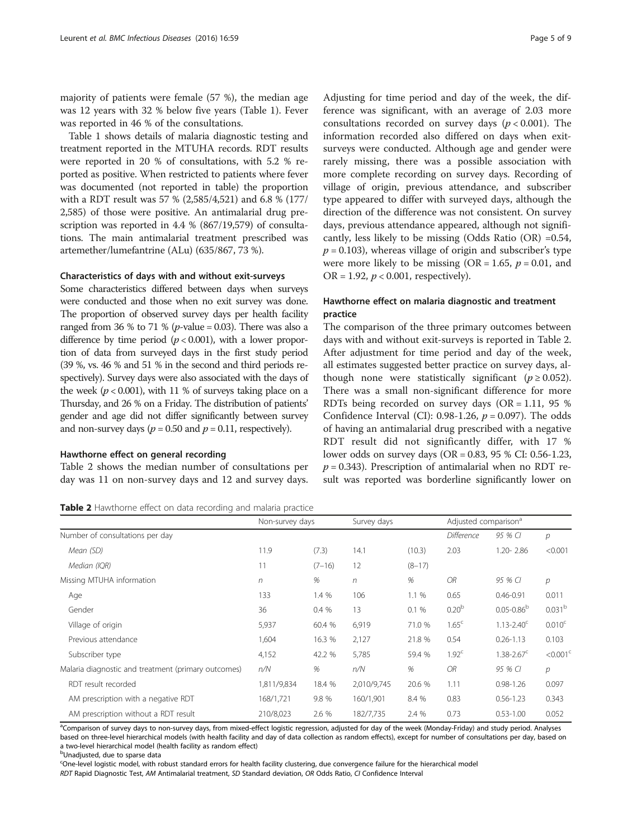majority of patients were female (57 %), the median age was 12 years with 32 % below five years (Table [1\)](#page-3-0). Fever was reported in 46 % of the consultations.

Table [1](#page-3-0) shows details of malaria diagnostic testing and treatment reported in the MTUHA records. RDT results were reported in 20 % of consultations, with 5.2 % reported as positive. When restricted to patients where fever was documented (not reported in table) the proportion with a RDT result was 57 % (2,585/4,521) and 6.8 % (177/ 2,585) of those were positive. An antimalarial drug prescription was reported in 4.4 % (867/19,579) of consultations. The main antimalarial treatment prescribed was artemether/lumefantrine (ALu) (635/867, 73 %).

#### Characteristics of days with and without exit-surveys

Some characteristics differed between days when surveys were conducted and those when no exit survey was done. The proportion of observed survey days per health facility ranged from 36 % to 71 % ( $p$ -value = 0.03). There was also a difference by time period ( $p < 0.001$ ), with a lower proportion of data from surveyed days in the first study period (39 %, vs. 46 % and 51 % in the second and third periods respectively). Survey days were also associated with the days of the week ( $p < 0.001$ ), with 11 % of surveys taking place on a Thursday, and 26 % on a Friday. The distribution of patients' gender and age did not differ significantly between survey and non-survey days ( $p = 0.50$  and  $p = 0.11$ , respectively).

### Hawthorne effect on general recording

Table 2 shows the median number of consultations per day was 11 on non-survey days and 12 and survey days.

| <b>Table 2</b> Hawthorne effect on data recording and malaria practice |  |  |  |
|------------------------------------------------------------------------|--|--|--|
|                                                                        |  |  |  |

Adjusting for time period and day of the week, the difference was significant, with an average of 2.03 more consultations recorded on survey days ( $p < 0.001$ ). The information recorded also differed on days when exitsurveys were conducted. Although age and gender were rarely missing, there was a possible association with more complete recording on survey days. Recording of village of origin, previous attendance, and subscriber type appeared to differ with surveyed days, although the direction of the difference was not consistent. On survey days, previous attendance appeared, although not significantly, less likely to be missing (Odds Ratio (OR) =0.54,  $p = 0.103$ ), whereas village of origin and subscriber's type were more likely to be missing (OR = 1.65,  $p = 0.01$ , and OR = 1.92,  $p < 0.001$ , respectively).

### Hawthorne effect on malaria diagnostic and treatment practice

The comparison of the three primary outcomes between days with and without exit-surveys is reported in Table 2. After adjustment for time period and day of the week, all estimates suggested better practice on survey days, although none were statistically significant ( $p \ge 0.052$ ). There was a small non-significant difference for more RDTs being recorded on survey days (OR = 1.11, 95 % Confidence Interval (CI): 0.98-1.26,  $p = 0.097$ ). The odds of having an antimalarial drug prescribed with a negative RDT result did not significantly differ, with 17 % lower odds on survey days (OR = 0.83, 95 % CI: 0.56-1.23,  $p = 0.343$ ). Prescription of antimalarial when no RDT result was reported was borderline significantly lower on

|                                                     | Non-survey days |          | Survey days |          | Adjusted comparison <sup>a</sup> |                       |                        |
|-----------------------------------------------------|-----------------|----------|-------------|----------|----------------------------------|-----------------------|------------------------|
| Number of consultations per day                     |                 |          |             |          | <b>Difference</b>                | 95 % CI               | р                      |
| Mean (SD)                                           | 11.9            | (7.3)    | 14.1        | (10.3)   | 2.03                             | $1.20 - 2.86$         | < 0.001                |
| Median (IQR)                                        | 11              | $(7-16)$ | 12          | $(8-17)$ |                                  |                       |                        |
| Missing MTUHA information                           | $\sqrt{n}$      | %        | $\sqrt{n}$  | %        | <b>OR</b>                        | 95 % CI               | $\mathcal{P}$          |
| Age                                                 | 133             | 1.4 %    | 106         | 1.1%     | 0.65                             | $0.46 - 0.91$         | 0.011                  |
| Gender                                              | 36              | 0.4%     | 13          | 0.1%     | 0.20 <sup>b</sup>                | $0.05 - 0.86^{\rm b}$ | 0.031 <sup>b</sup>     |
| Village of origin                                   | 5,937           | 60.4 %   | 6,919       | 71.0 %   | 1.65 <sup>c</sup>                | $1.13 - 2.40^{\circ}$ | $0.010^{c}$            |
| Previous attendance                                 | 1,604           | 16.3 %   | 2,127       | 21.8 %   | 0.54                             | $0.26 - 1.13$         | 0.103                  |
| Subscriber type                                     | 4,152           | 42.2 %   | 5,785       | 59.4 %   | 1.92 <sup>c</sup>                | $1.38 - 2.67^c$       | $< 0.001$ <sup>c</sup> |
| Malaria diagnostic and treatment (primary outcomes) | n/N             | %        | n/N         | %        | OR.                              | 95 % CI               | $\mathcal{P}$          |
| RDT result recorded                                 | 1,811/9,834     | 18.4 %   | 2,010/9,745 | 20.6 %   | 1.11                             | $0.98 - 1.26$         | 0.097                  |
| AM prescription with a negative RDT                 | 168/1,721       | 9.8 %    | 160/1,901   | 8.4 %    | 0.83                             | $0.56 - 1.23$         | 0.343                  |
| AM prescription without a RDT result                | 210/8,023       | 2.6 %    | 182/7,735   | 2.4 %    | 0.73                             | $0.53 - 1.00$         | 0.052                  |

a<br>Comparison of survey days to non-survey days, from mixed-effect logistic regression, adjusted for day of the week (Monday-Friday) and study period. Analyses based on three-level hierarchical models (with health facility and day of data collection as random effects), except for number of consultations per day, based on a two-level hierarchical model (health facility as random effect)

<sup>b</sup>Unadjusted, due to sparse data

<sup>c</sup>One-level logistic model, with robust standard errors for health facility clustering, due convergence failure for the hierarchical model

RDT Rapid Diagnostic Test, AM Antimalarial treatment, SD Standard deviation, OR Odds Ratio, CI Confidence Interval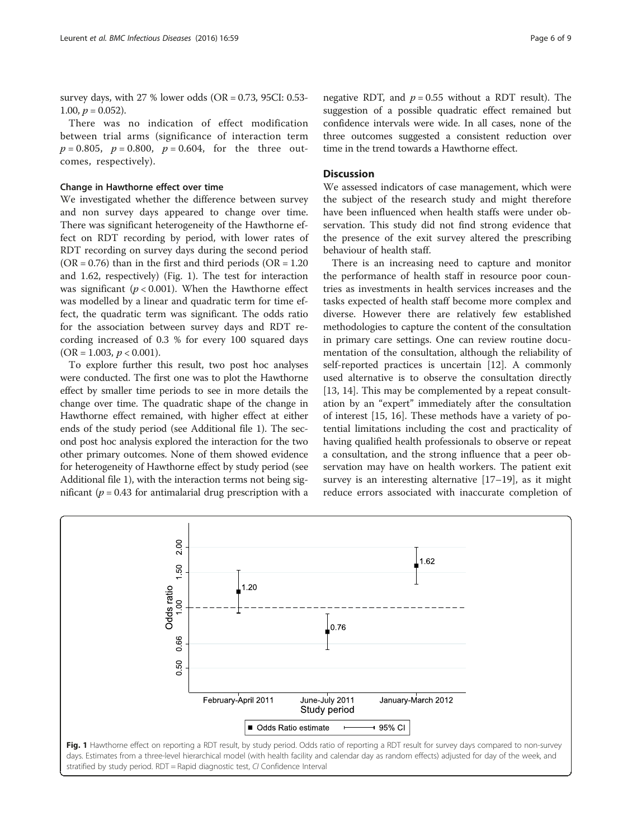<span id="page-5-0"></span>survey days, with 27 % lower odds (OR = 0.73, 95CI: 0.53- 1.00,  $p = 0.052$ ).

There was no indication of effect modification between trial arms (significance of interaction term  $p = 0.805$ ,  $p = 0.800$ ,  $p = 0.604$ , for the three outcomes, respectively).

#### Change in Hawthorne effect over time

We investigated whether the difference between survey and non survey days appeared to change over time. There was significant heterogeneity of the Hawthorne effect on RDT recording by period, with lower rates of RDT recording on survey days during the second period  $(OR = 0.76)$  than in the first and third periods  $(OR = 1.20)$ and 1.62, respectively) (Fig. 1). The test for interaction was significant ( $p < 0.001$ ). When the Hawthorne effect was modelled by a linear and quadratic term for time effect, the quadratic term was significant. The odds ratio for the association between survey days and RDT recording increased of 0.3 % for every 100 squared days  $(OR = 1.003, p < 0.001).$ 

To explore further this result, two post hoc analyses were conducted. The first one was to plot the Hawthorne effect by smaller time periods to see in more details the change over time. The quadratic shape of the change in Hawthorne effect remained, with higher effect at either ends of the study period (see Additional file [1](#page-7-0)). The second post hoc analysis explored the interaction for the two other primary outcomes. None of them showed evidence for heterogeneity of Hawthorne effect by study period (see Additional file [1](#page-7-0)), with the interaction terms not being significant ( $p = 0.43$  for antimalarial drug prescription with a

negative RDT, and  $p = 0.55$  without a RDT result). The suggestion of a possible quadratic effect remained but confidence intervals were wide. In all cases, none of the three outcomes suggested a consistent reduction over time in the trend towards a Hawthorne effect.

### **Discussion**

We assessed indicators of case management, which were the subject of the research study and might therefore have been influenced when health staffs were under observation. This study did not find strong evidence that the presence of the exit survey altered the prescribing behaviour of health staff.

There is an increasing need to capture and monitor the performance of health staff in resource poor countries as investments in health services increases and the tasks expected of health staff become more complex and diverse. However there are relatively few established methodologies to capture the content of the consultation in primary care settings. One can review routine documentation of the consultation, although the reliability of self-reported practices is uncertain [[12](#page-8-0)]. A commonly used alternative is to observe the consultation directly [[13, 14\]](#page-8-0). This may be complemented by a repeat consultation by an "expert" immediately after the consultation of interest [\[15, 16](#page-8-0)]. These methods have a variety of potential limitations including the cost and practicality of having qualified health professionals to observe or repeat a consultation, and the strong influence that a peer observation may have on health workers. The patient exit survey is an interesting alternative [\[17](#page-8-0)–[19\]](#page-8-0), as it might reduce errors associated with inaccurate completion of



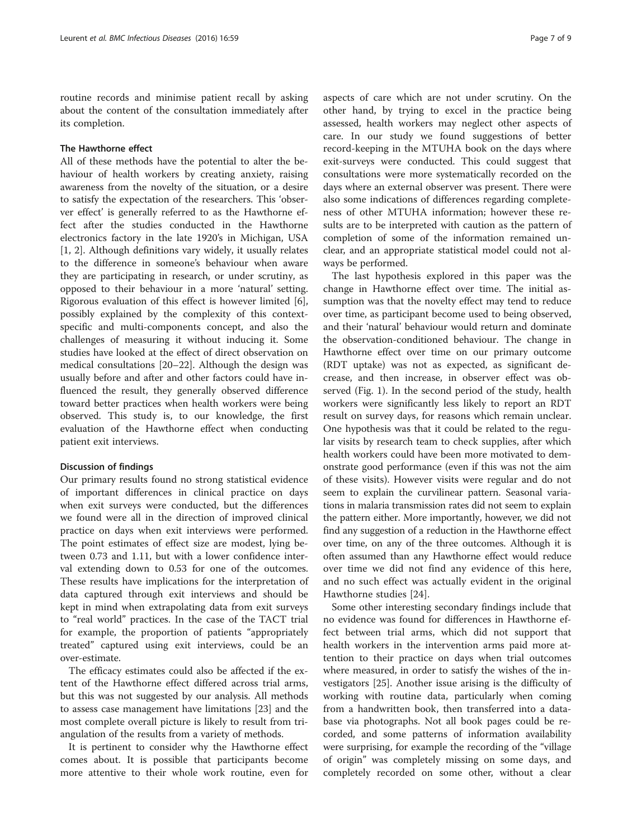routine records and minimise patient recall by asking about the content of the consultation immediately after its completion.

### The Hawthorne effect

All of these methods have the potential to alter the behaviour of health workers by creating anxiety, raising awareness from the novelty of the situation, or a desire to satisfy the expectation of the researchers. This 'observer effect' is generally referred to as the Hawthorne effect after the studies conducted in the Hawthorne electronics factory in the late 1920's in Michigan, USA [[1, 2](#page-8-0)]. Although definitions vary widely, it usually relates to the difference in someone's behaviour when aware they are participating in research, or under scrutiny, as opposed to their behaviour in a more 'natural' setting. Rigorous evaluation of this effect is however limited [\[6](#page-8-0)], possibly explained by the complexity of this contextspecific and multi-components concept, and also the challenges of measuring it without inducing it. Some studies have looked at the effect of direct observation on medical consultations [[20](#page-8-0)–[22](#page-8-0)]. Although the design was usually before and after and other factors could have influenced the result, they generally observed difference toward better practices when health workers were being observed. This study is, to our knowledge, the first evaluation of the Hawthorne effect when conducting patient exit interviews.

### Discussion of findings

Our primary results found no strong statistical evidence of important differences in clinical practice on days when exit surveys were conducted, but the differences we found were all in the direction of improved clinical practice on days when exit interviews were performed. The point estimates of effect size are modest, lying between 0.73 and 1.11, but with a lower confidence interval extending down to 0.53 for one of the outcomes. These results have implications for the interpretation of data captured through exit interviews and should be kept in mind when extrapolating data from exit surveys to "real world" practices. In the case of the TACT trial for example, the proportion of patients "appropriately treated" captured using exit interviews, could be an over-estimate.

The efficacy estimates could also be affected if the extent of the Hawthorne effect differed across trial arms, but this was not suggested by our analysis. All methods to assess case management have limitations [\[23\]](#page-8-0) and the most complete overall picture is likely to result from triangulation of the results from a variety of methods.

It is pertinent to consider why the Hawthorne effect comes about. It is possible that participants become more attentive to their whole work routine, even for aspects of care which are not under scrutiny. On the other hand, by trying to excel in the practice being assessed, health workers may neglect other aspects of care. In our study we found suggestions of better record-keeping in the MTUHA book on the days where exit-surveys were conducted. This could suggest that consultations were more systematically recorded on the days where an external observer was present. There were also some indications of differences regarding completeness of other MTUHA information; however these results are to be interpreted with caution as the pattern of completion of some of the information remained unclear, and an appropriate statistical model could not always be performed.

The last hypothesis explored in this paper was the change in Hawthorne effect over time. The initial assumption was that the novelty effect may tend to reduce over time, as participant become used to being observed, and their 'natural' behaviour would return and dominate the observation-conditioned behaviour. The change in Hawthorne effect over time on our primary outcome (RDT uptake) was not as expected, as significant decrease, and then increase, in observer effect was observed (Fig. [1](#page-5-0)). In the second period of the study, health workers were significantly less likely to report an RDT result on survey days, for reasons which remain unclear. One hypothesis was that it could be related to the regular visits by research team to check supplies, after which health workers could have been more motivated to demonstrate good performance (even if this was not the aim of these visits). However visits were regular and do not seem to explain the curvilinear pattern. Seasonal variations in malaria transmission rates did not seem to explain the pattern either. More importantly, however, we did not find any suggestion of a reduction in the Hawthorne effect over time, on any of the three outcomes. Although it is often assumed than any Hawthorne effect would reduce over time we did not find any evidence of this here, and no such effect was actually evident in the original Hawthorne studies [[24\]](#page-8-0).

Some other interesting secondary findings include that no evidence was found for differences in Hawthorne effect between trial arms, which did not support that health workers in the intervention arms paid more attention to their practice on days when trial outcomes where measured, in order to satisfy the wishes of the investigators [[25](#page-8-0)]. Another issue arising is the difficulty of working with routine data, particularly when coming from a handwritten book, then transferred into a database via photographs. Not all book pages could be recorded, and some patterns of information availability were surprising, for example the recording of the "village of origin" was completely missing on some days, and completely recorded on some other, without a clear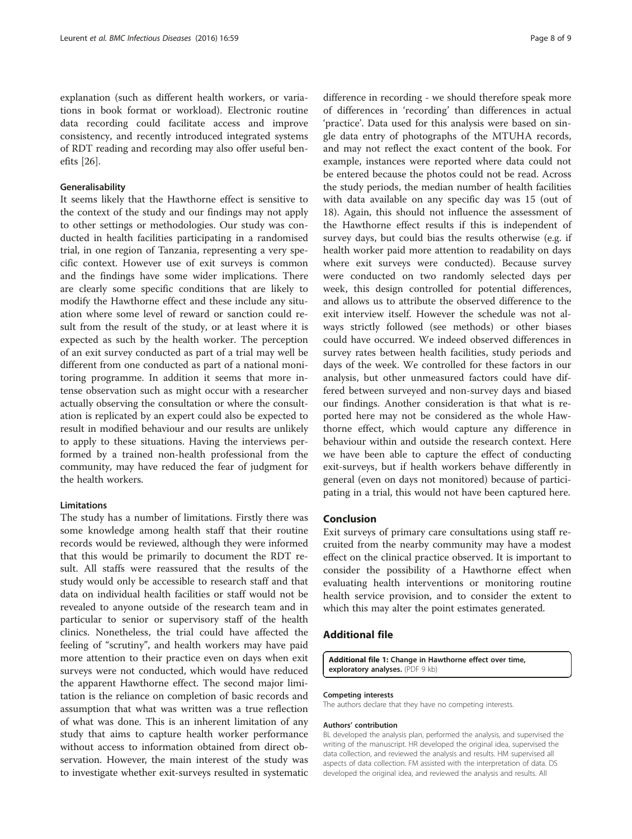<span id="page-7-0"></span>explanation (such as different health workers, or variations in book format or workload). Electronic routine data recording could facilitate access and improve consistency, and recently introduced integrated systems of RDT reading and recording may also offer useful benefits [[26\]](#page-8-0).

#### Generalisability

It seems likely that the Hawthorne effect is sensitive to the context of the study and our findings may not apply to other settings or methodologies. Our study was conducted in health facilities participating in a randomised trial, in one region of Tanzania, representing a very specific context. However use of exit surveys is common and the findings have some wider implications. There are clearly some specific conditions that are likely to modify the Hawthorne effect and these include any situation where some level of reward or sanction could result from the result of the study, or at least where it is expected as such by the health worker. The perception of an exit survey conducted as part of a trial may well be different from one conducted as part of a national monitoring programme. In addition it seems that more intense observation such as might occur with a researcher actually observing the consultation or where the consultation is replicated by an expert could also be expected to result in modified behaviour and our results are unlikely to apply to these situations. Having the interviews performed by a trained non-health professional from the community, may have reduced the fear of judgment for the health workers.

### Limitations

The study has a number of limitations. Firstly there was some knowledge among health staff that their routine records would be reviewed, although they were informed that this would be primarily to document the RDT result. All staffs were reassured that the results of the study would only be accessible to research staff and that data on individual health facilities or staff would not be revealed to anyone outside of the research team and in particular to senior or supervisory staff of the health clinics. Nonetheless, the trial could have affected the feeling of "scrutiny", and health workers may have paid more attention to their practice even on days when exit surveys were not conducted, which would have reduced the apparent Hawthorne effect. The second major limitation is the reliance on completion of basic records and assumption that what was written was a true reflection of what was done. This is an inherent limitation of any study that aims to capture health worker performance without access to information obtained from direct observation. However, the main interest of the study was to investigate whether exit-surveys resulted in systematic

difference in recording - we should therefore speak more of differences in 'recording' than differences in actual 'practice'. Data used for this analysis were based on single data entry of photographs of the MTUHA records, and may not reflect the exact content of the book. For example, instances were reported where data could not be entered because the photos could not be read. Across the study periods, the median number of health facilities with data available on any specific day was 15 (out of 18). Again, this should not influence the assessment of the Hawthorne effect results if this is independent of survey days, but could bias the results otherwise (e.g. if health worker paid more attention to readability on days where exit surveys were conducted). Because survey were conducted on two randomly selected days per week, this design controlled for potential differences, and allows us to attribute the observed difference to the exit interview itself. However the schedule was not always strictly followed (see methods) or other biases could have occurred. We indeed observed differences in survey rates between health facilities, study periods and days of the week. We controlled for these factors in our analysis, but other unmeasured factors could have differed between surveyed and non-survey days and biased our findings. Another consideration is that what is reported here may not be considered as the whole Hawthorne effect, which would capture any difference in behaviour within and outside the research context. Here we have been able to capture the effect of conducting exit-surveys, but if health workers behave differently in general (even on days not monitored) because of participating in a trial, this would not have been captured here.

### Conclusion

Exit surveys of primary care consultations using staff recruited from the nearby community may have a modest effect on the clinical practice observed. It is important to consider the possibility of a Hawthorne effect when evaluating health interventions or monitoring routine health service provision, and to consider the extent to which this may alter the point estimates generated.

### Additional file

[Additional file 1:](dx.doi.org/10.1186/s12879-016-1362-0) Change in Hawthorne effect over time, exploratory analyses. (PDF 9 kb)

#### Competing interests

The authors declare that they have no competing interests.

#### Authors' contribution

BL developed the analysis plan, performed the analysis, and supervised the writing of the manuscript. HR developed the original idea, supervised the data collection, and reviewed the analysis and results. HM supervised all aspects of data collection. FM assisted with the interpretation of data. DS developed the original idea, and reviewed the analysis and results. All